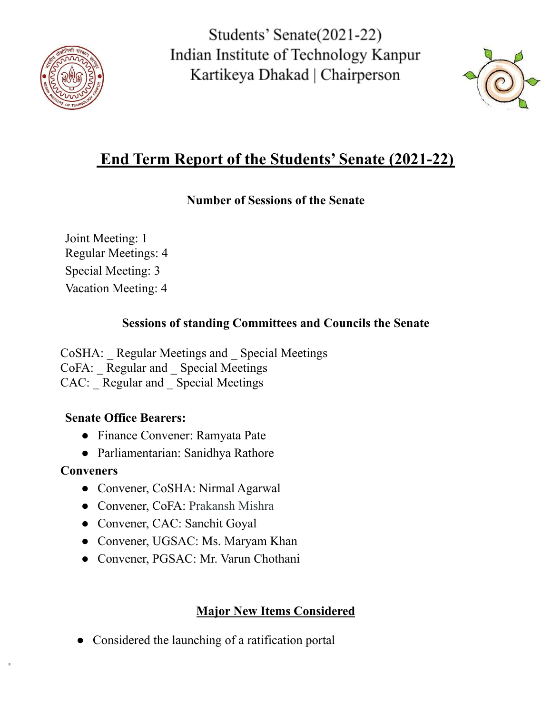



# **End Term Report of the Students' Senate (2021-22)**

#### **Number of Sessions of the Senate**

Joint Meeting: 1 Regular Meetings: 4 Special Meeting: 3 Vacation Meeting: 4

### **Sessions of standing Committees and Councils the Senate**

CoSHA: \_ Regular Meetings and \_ Special Meetings CoFA: Regular and Special Meetings CAC: Regular and Special Meetings

### **Senate Office Bearers:**

- Finance Convener: Ramyata Pate
- Parliamentarian: Sanidhya Rathore

## **Conveners**

- Convener, CoSHA: Nirmal Agarwal
- Convener, CoFA: Prakansh Mishra
- Convener, CAC: Sanchit Goyal
- Convener, UGSAC: Ms. Maryam Khan
- Convener, PGSAC: Mr. Varun Chothani

## **Major New Items Considered**

• Considered the launching of a ratification portal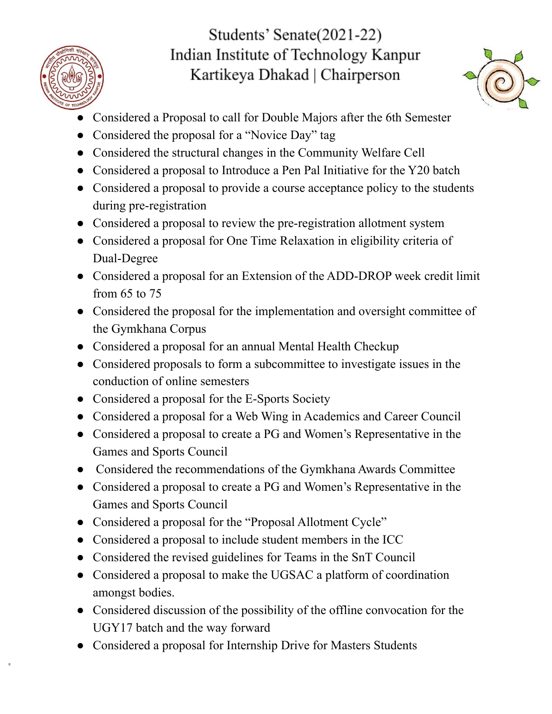



- Considered a Proposal to call for Double Majors after the 6th Semester
- Considered the proposal for a "Novice Day" tag
- Considered the structural changes in the Community Welfare Cell
- Considered a proposal to Introduce a Pen Pal Initiative for the Y20 batch
- Considered a proposal to provide a course acceptance policy to the students during pre-registration
- Considered a proposal to review the pre-registration allotment system
- Considered a proposal for One Time Relaxation in eligibility criteria of Dual-Degree
- Considered a proposal for an Extension of the ADD-DROP week credit limit from 65 to 75
- Considered the proposal for the implementation and oversight committee of the Gymkhana Corpus
- Considered a proposal for an annual Mental Health Checkup
- Considered proposals to form a subcommittee to investigate issues in the conduction of online semesters
- Considered a proposal for the E-Sports Society
- Considered a proposal for a Web Wing in Academics and Career Council
- Considered a proposal to create a PG and Women's Representative in the Games and Sports Council
- Considered the recommendations of the Gymkhana Awards Committee
- Considered a proposal to create a PG and Women's Representative in the Games and Sports Council
- Considered a proposal for the "Proposal Allotment Cycle"
- Considered a proposal to include student members in the ICC
- Considered the revised guidelines for Teams in the SnT Council
- Considered a proposal to make the UGSAC a platform of coordination amongst bodies.
- Considered discussion of the possibility of the offline convocation for the UGY17 batch and the way forward
- Considered a proposal for Internship Drive for Masters Students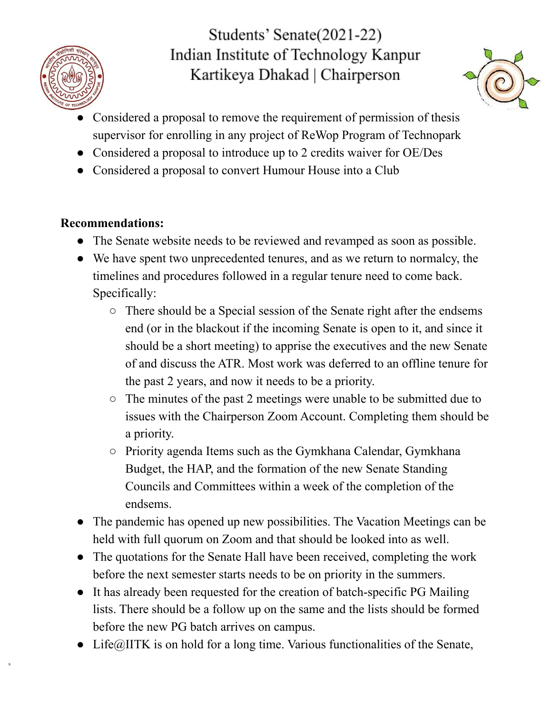



- Considered a proposal to remove the requirement of permission of thesis supervisor for enrolling in any project of ReWop Program of Technopark
- Considered a proposal to introduce up to 2 credits waiver for OE/Des
- Considered a proposal to convert Humour House into a Club

#### **Recommendations:**

- The Senate website needs to be reviewed and revamped as soon as possible.
- We have spent two unprecedented tenures, and as we return to normalcy, the timelines and procedures followed in a regular tenure need to come back. Specifically:
	- There should be a Special session of the Senate right after the endsems end (or in the blackout if the incoming Senate is open to it, and since it should be a short meeting) to apprise the executives and the new Senate of and discuss the ATR. Most work was deferred to an offline tenure for the past 2 years, and now it needs to be a priority.
	- The minutes of the past 2 meetings were unable to be submitted due to issues with the Chairperson Zoom Account. Completing them should be a priority.
	- Priority agenda Items such as the Gymkhana Calendar, Gymkhana Budget, the HAP, and the formation of the new Senate Standing Councils and Committees within a week of the completion of the endsems.
- The pandemic has opened up new possibilities. The Vacation Meetings can be held with full quorum on Zoom and that should be looked into as well.
- The quotations for the Senate Hall have been received, completing the work before the next semester starts needs to be on priority in the summers.
- It has already been requested for the creation of batch-specific PG Mailing lists. There should be a follow up on the same and the lists should be formed before the new PG batch arrives on campus.
- Life $@$ IITK is on hold for a long time. Various functionalities of the Senate,